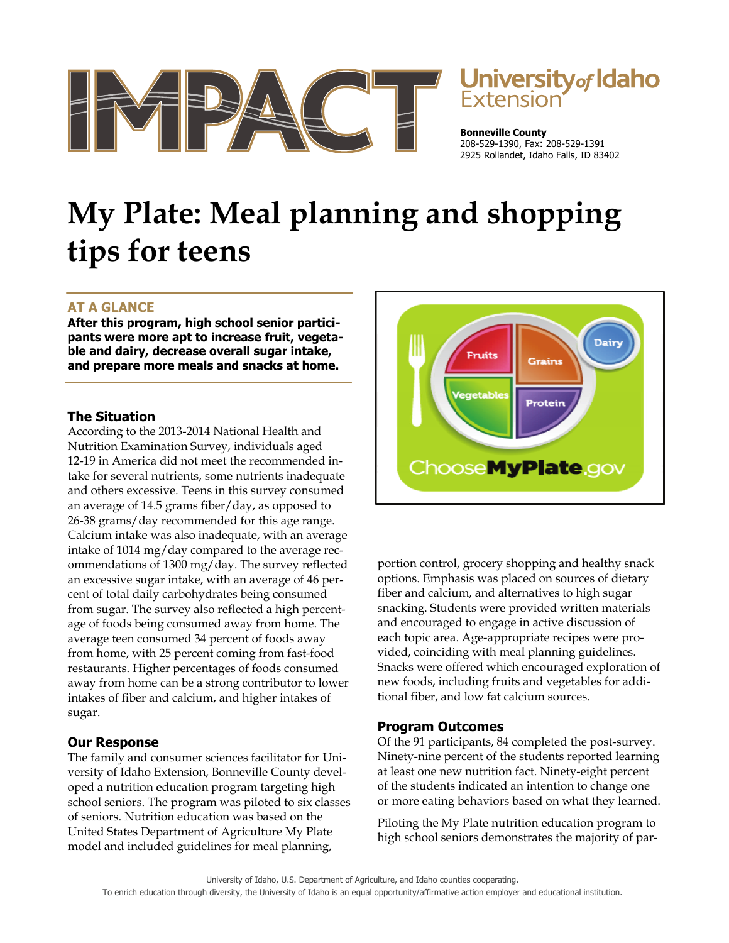

# Jniversity<sub>of</sub> Idaho

**Bonneville County**  208-529-1390, Fax: 208-529-1391 2925 Rollandet, Idaho Falls, ID 83402

## **My Plate: Meal planning and shopping tips for teens**

### **AT A GLANCE**

**After this program, high school senior participants were more apt to increase fruit, vegetable and dairy, decrease overall sugar intake, and prepare more meals and snacks at home.** 

#### **The Situation**

According to the 2013-2014 National Health and Nutrition Examination Survey, individuals aged 12-19 in America did not meet the recommended intake for several nutrients, some nutrients inadequate and others excessive. Teens in this survey consumed an average of 14.5 grams fiber/day, as opposed to 26-38 grams/day recommended for this age range. Calcium intake was also inadequate, with an average intake of 1014 mg/day compared to the average recommendations of 1300 mg/day. The survey reflected an excessive sugar intake, with an average of 46 percent of total daily carbohydrates being consumed from sugar. The survey also reflected a high percentage of foods being consumed away from home. The average teen consumed 34 percent of foods away from home, with 25 percent coming from fast-food restaurants. Higher percentages of foods consumed away from home can be a strong contributor to lower intakes of fiber and calcium, and higher intakes of sugar.

#### **Our Response**

The family and consumer sciences facilitator for University of Idaho Extension, Bonneville County developed a nutrition education program targeting high school seniors. The program was piloted to six classes of seniors. Nutrition education was based on the United States Department of Agriculture My Plate model and included guidelines for meal planning,



portion control, grocery shopping and healthy snack options. Emphasis was placed on sources of dietary fiber and calcium, and alternatives to high sugar snacking. Students were provided written materials and encouraged to engage in active discussion of each topic area. Age-appropriate recipes were provided, coinciding with meal planning guidelines. Snacks were offered which encouraged exploration of new foods, including fruits and vegetables for additional fiber, and low fat calcium sources.

#### **Program Outcomes**

Of the 91 participants, 84 completed the post-survey. Ninety-nine percent of the students reported learning at least one new nutrition fact. Ninety-eight percent of the students indicated an intention to change one or more eating behaviors based on what they learned.

Piloting the My Plate nutrition education program to high school seniors demonstrates the majority of par